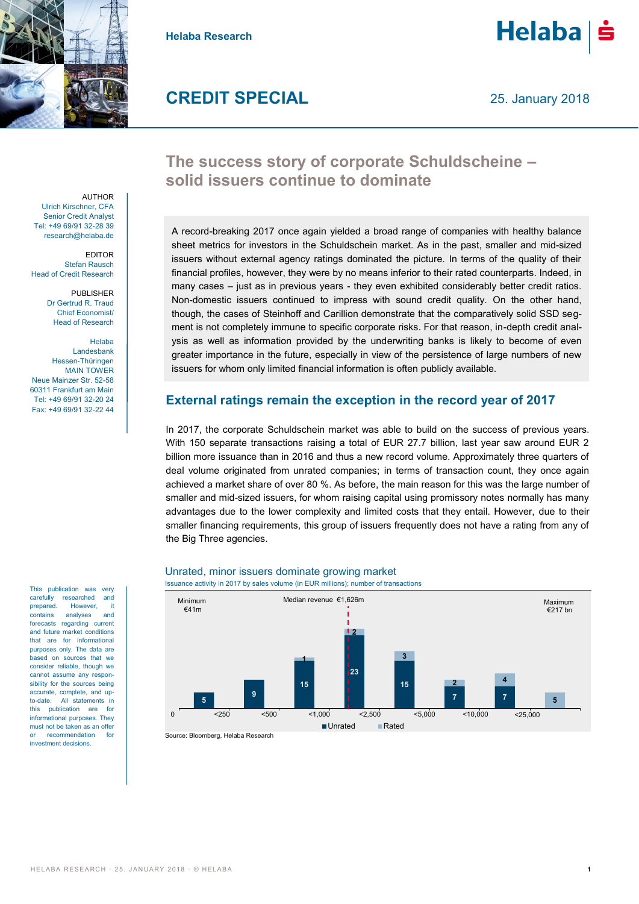

**Helaba Research**



## **CREDIT SPECIAL**

### **The success story of corporate Schuldscheine – solid issuers continue to dominate**

A record-breaking 2017 once again yielded a broad range of companies with healthy balance sheet metrics for investors in the Schuldschein market. As in the past, smaller and mid-sized issuers without external agency ratings dominated the picture. In terms of the quality of their financial profiles, however, they were by no means inferior to their rated counterparts. Indeed, in many cases – just as in previous years - they even exhibited considerably better credit ratios. Non-domestic issuers continued to impress with sound credit quality. On the other hand, though, the cases of Steinhoff and Carillion demonstrate that the comparatively solid SSD segment is not completely immune to specific corporate risks. For that reason, in-depth credit analysis as well as information provided by the underwriting banks is likely to become of even greater importance in the future, especially in view of the persistence of large numbers of new issuers for whom only limited financial information is often publicly available.

#### **External ratings remain the exception in the record year of 2017**

In 2017, the corporate Schuldschein market was able to build on the success of previous years. With 150 separate transactions raising a total of EUR 27.7 billion, last year saw around EUR 2 billion more issuance than in 2016 and thus a new record volume. Approximately three quarters of deal volume originated from unrated companies; in terms of transaction count, they once again achieved a market share of over 80 %. As before, the main reason for this was the large number of smaller and mid-sized issuers, for whom raising capital using promissory notes normally has many advantages due to the lower complexity and limited costs that they entail. However, due to their smaller financing requirements, this group of issuers frequently does not have a rating from any of the Big Three agencies.



### Unrated, minor issuers dominate growing market

Source: Bloomberg, Helaba Research

**AUTHOR** Ulrich Kirschner, CFA Senior Credit Analyst Tel: +49 69/91 32-28 39 research@helaba.de

EDITOR Stefan Rausch Head of Credit Research

> PUBLISHER Dr Gertrud R. Traud Chief Economist/ Head of Research

Helaba Landesbank Hessen-Thüringen MAIN TOWER Neue Mainzer Str. 52-58 60311 Frankfurt am Main Tel: +49 69/91 32-20 24 Fax: +49 69/91 32-22 44

This publication was very carefully researched and prepared. However, it contains analyses and forecasts regarding current and future market conditions that are for informational purposes only. The data are based on sources that we consider reliable, though we cannot assume any responsibility for the sources being accurate, complete, and up to-date. All statements in this publication are for informational purposes. They must not be taken as an offer recommendation for investment decisions.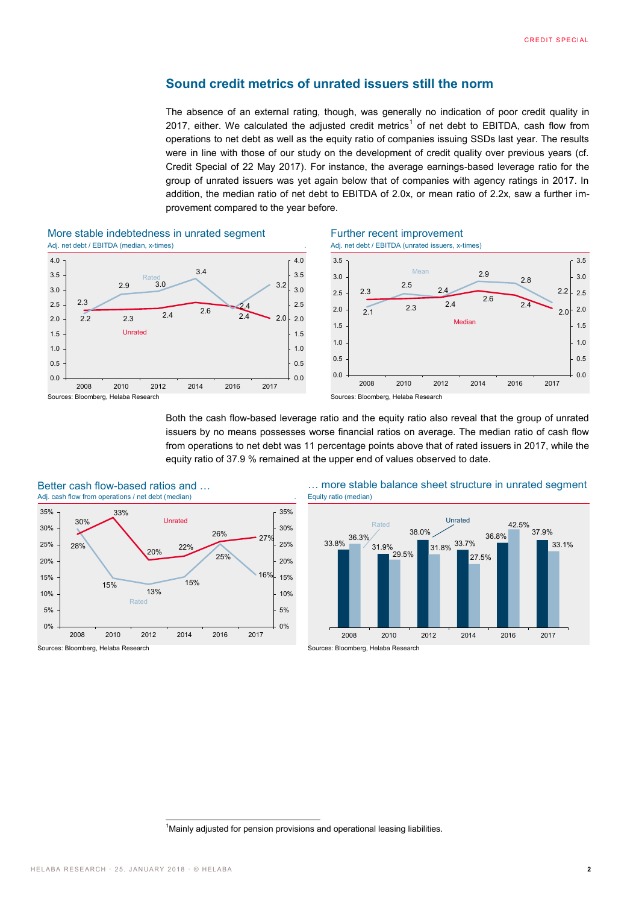#### **Sound credit metrics of unrated issuers still the norm**

The absence of an external rating, though, was generally no indication of poor credit quality in 2017, either. We calculated the adjusted credit metrics<sup>1</sup> of net debt to EBITDA, cash flow from operations to net debt as well as the equity ratio of companies issuing SSDs last year. The results were in line with those of our study on the development of credit quality over previous years (cf. Credit Special of 22 May 2017). For instance, the average earnings-based leverage ratio for the group of unrated issuers was yet again below that of companies with agency ratings in 2017. In addition, the median ratio of net debt to EBITDA of 2.0x, or mean ratio of 2.2x, saw a further improvement compared to the year before.



#### More stable indebtedness in unrated segment Further recent improvement Adj. net debt / EBITDA (median, x-times) . Adj. net debt / EBITDA (unrated issuers, x-times)







Both the cash flow-based leverage ratio and the equity ratio also reveal that the group of unrated issuers by no means possesses worse financial ratios on average. The median ratio of cash flow from operations to net debt was 11 percentage points above that of rated issuers in 2017, while the equity ratio of 37.9 % remained at the upper end of values observed to date.



Better cash flow-based ratios and … <br>Adj. cash flow from operations / net debt (median)<br>
Equity ratio (median)



Sources: Bloomberg, Helaba Research Sources: Bloomberg, Helaba Research Sources: Bloomberg, Helaba Research

<sup>-</sup><sup>1</sup>Mainly adjusted for pension provisions and operational leasing liabilities.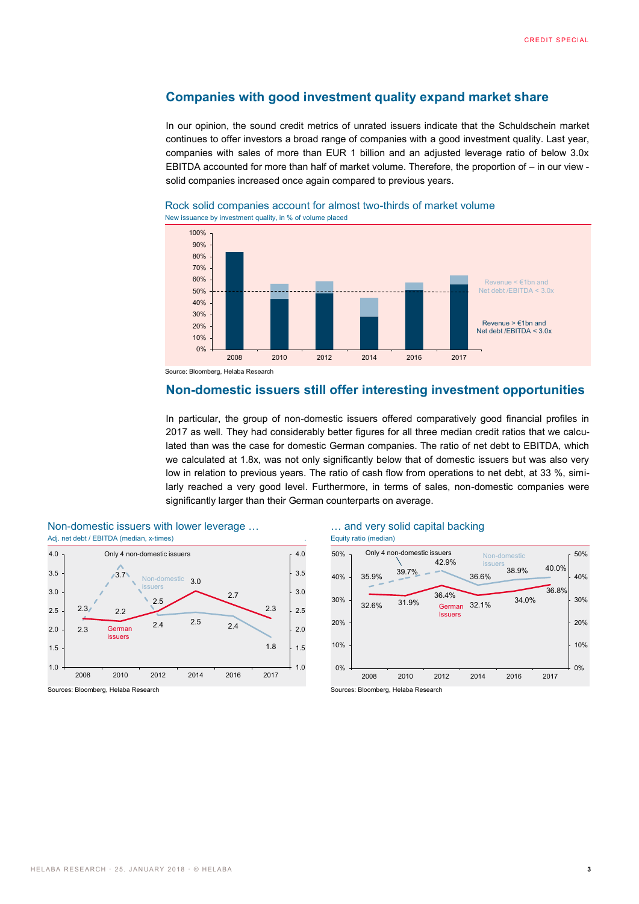#### **Companies with good investment quality expand market share**

In our opinion, the sound credit metrics of unrated issuers indicate that the Schuldschein market continues to offer investors a broad range of companies with a good investment quality. Last year, companies with sales of more than EUR 1 billion and an adjusted leverage ratio of below 3.0x EBITDA accounted for more than half of market volume. Therefore, the proportion of – in our view solid companies increased once again compared to previous years.



#### Rock solid companies account for almost two-thirds of market volume New issuance by investment quality, in % of volume placed

#### **Non-domestic issuers still offer interesting investment opportunities**

In particular, the group of non-domestic issuers offered comparatively good financial profiles in 2017 as well. They had considerably better figures for all three median credit ratios that we calculated than was the case for domestic German companies. The ratio of net debt to EBITDA, which we calculated at 1.8x, was not only significantly below that of domestic issuers but was also very low in relation to previous years. The ratio of cash flow from operations to net debt, at 33 %, similarly reached a very good level. Furthermore, in terms of sales, non-domestic companies were significantly larger than their German counterparts on average.



# Non-domestic issuers with lower leverage … … and very solid capital backing



Sources: Bloomberg, Helaba Research Sources: Bloomberg, Helaba Research Sources: Bloomberg, Helaba Research